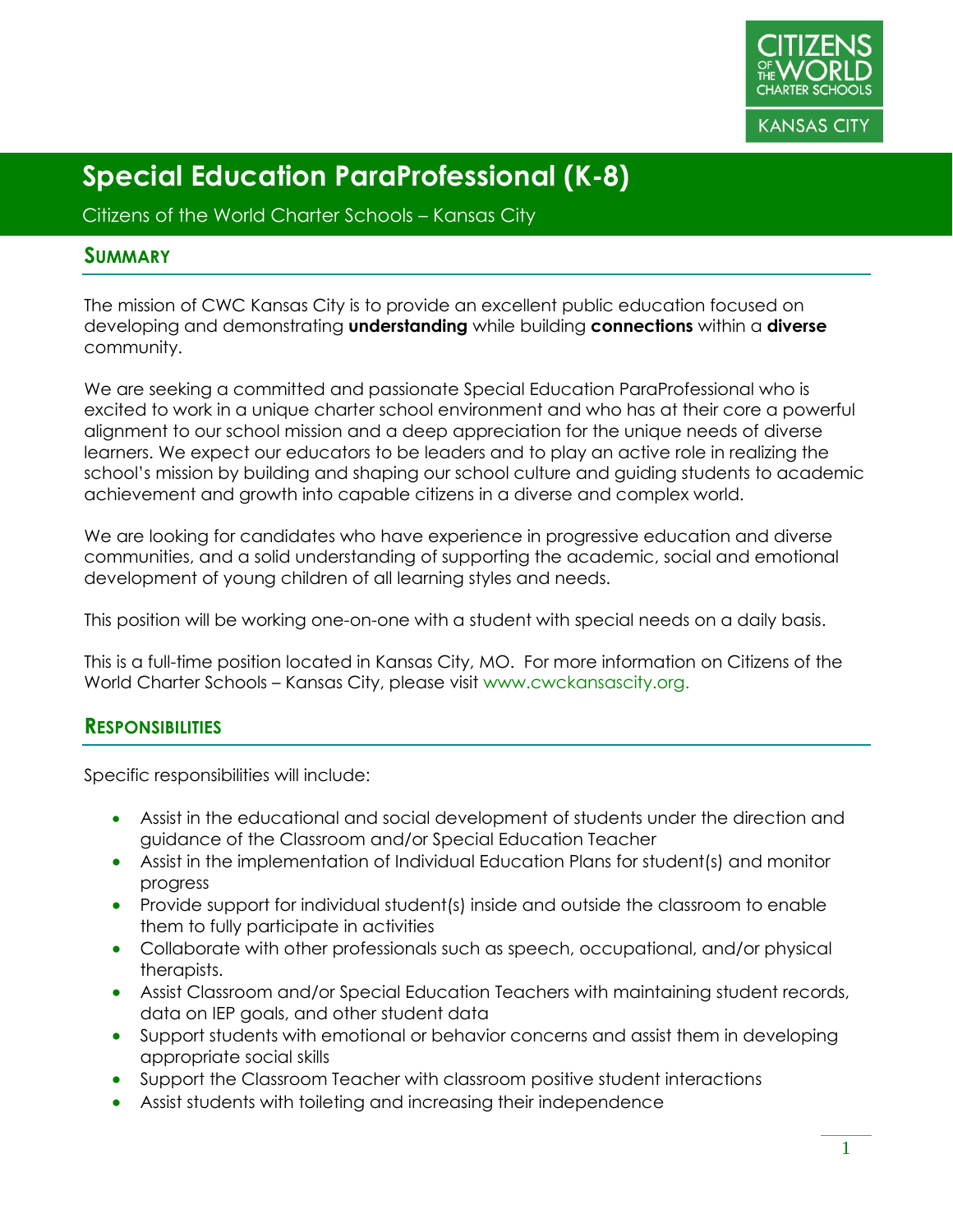

Citizens of the World Charter Schools – Kansas City

#### **SUMMARY**

The mission of CWC Kansas City is to provide an excellent public education focused on developing and demonstrating **understanding** while building **connections** within a **diverse** community.

We are seeking a committed and passionate Special Education ParaProfessional who is excited to work in a unique charter school environment and who has at their core a powerful alignment to our school mission and a deep appreciation for the unique needs of diverse learners. We expect our educators to be leaders and to play an active role in realizing the school's mission by building and shaping our school culture and guiding students to academic achievement and growth into capable citizens in a diverse and complex world.

We are looking for candidates who have experience in progressive education and diverse communities, and a solid understanding of supporting the academic, social and emotional development of young children of all learning styles and needs.

This position will be working one-on-one with a student with special needs on a daily basis.

This is a full-time position located in Kansas City, MO. For more information on Citizens of the World Charter Schools – Kansas City, please visit www.cwckansascity.org.

#### **RESPONSIBILITIES**

Specific responsibilities will include:

- Assist in the educational and social development of students under the direction and guidance of the Classroom and/or Special Education Teacher
- Assist in the implementation of Individual Education Plans for student(s) and monitor progress
- Provide support for individual student(s) inside and outside the classroom to enable them to fully participate in activities
- Collaborate with other professionals such as speech, occupational, and/or physical therapists.
- Assist Classroom and/or Special Education Teachers with maintaining student records, data on IEP goals, and other student data
- Support students with emotional or behavior concerns and assist them in developing appropriate social skills
- Support the Classroom Teacher with classroom positive student interactions
- Assist students with toileting and increasing their independence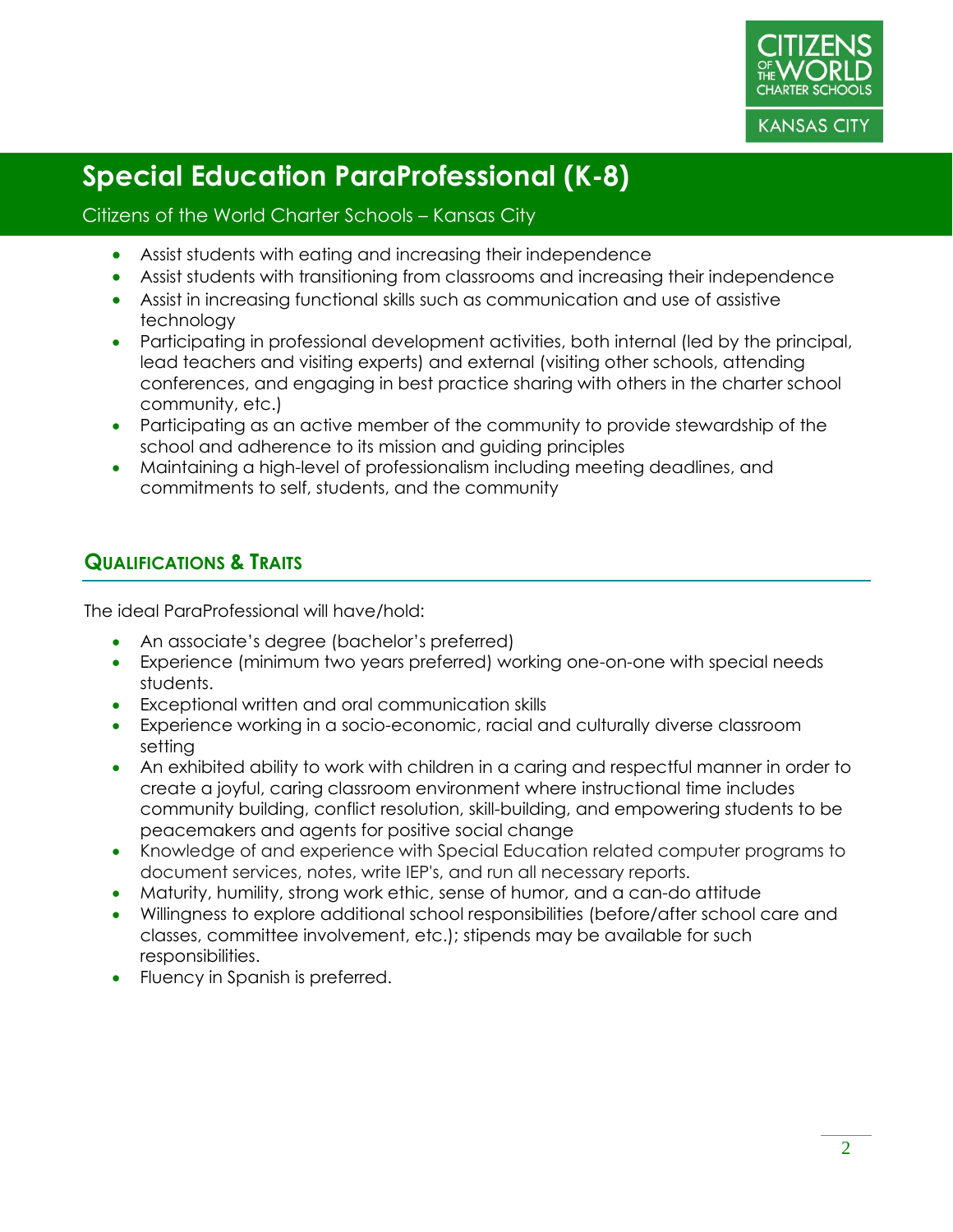

#### Citizens of the World Charter Schools – Kansas City

- Assist students with eating and increasing their independence
- Assist students with transitioning from classrooms and increasing their independence
- Assist in increasing functional skills such as communication and use of assistive technology
- Participating in professional development activities, both internal (led by the principal, lead teachers and visiting experts) and external (visiting other schools, attending conferences, and engaging in best practice sharing with others in the charter school community, etc.)
- Participating as an active member of the community to provide stewardship of the school and adherence to its mission and guiding principles
- Maintaining a high-level of professionalism including meeting deadlines, and commitments to self, students, and the community

### **QUALIFICATIONS & TRAITS**

The ideal ParaProfessional will have/hold:

- An associate's degree (bachelor's preferred)
- Experience (minimum two years preferred) working one-on-one with special needs students.
- Exceptional written and oral communication skills
- Experience working in a socio-economic, racial and culturally diverse classroom setting
- An exhibited ability to work with children in a caring and respectful manner in order to create a joyful, caring classroom environment where instructional time includes community building, conflict resolution, skill-building, and empowering students to be peacemakers and agents for positive social change
- Knowledge of and experience with Special Education related computer programs to document services, notes, write IEP's, and run all necessary reports.
- Maturity, humility, strong work ethic, sense of humor, and a can-do attitude
- Willingness to explore additional school responsibilities (before/after school care and classes, committee involvement, etc.); stipends may be available for such responsibilities.
- Fluency in Spanish is preferred.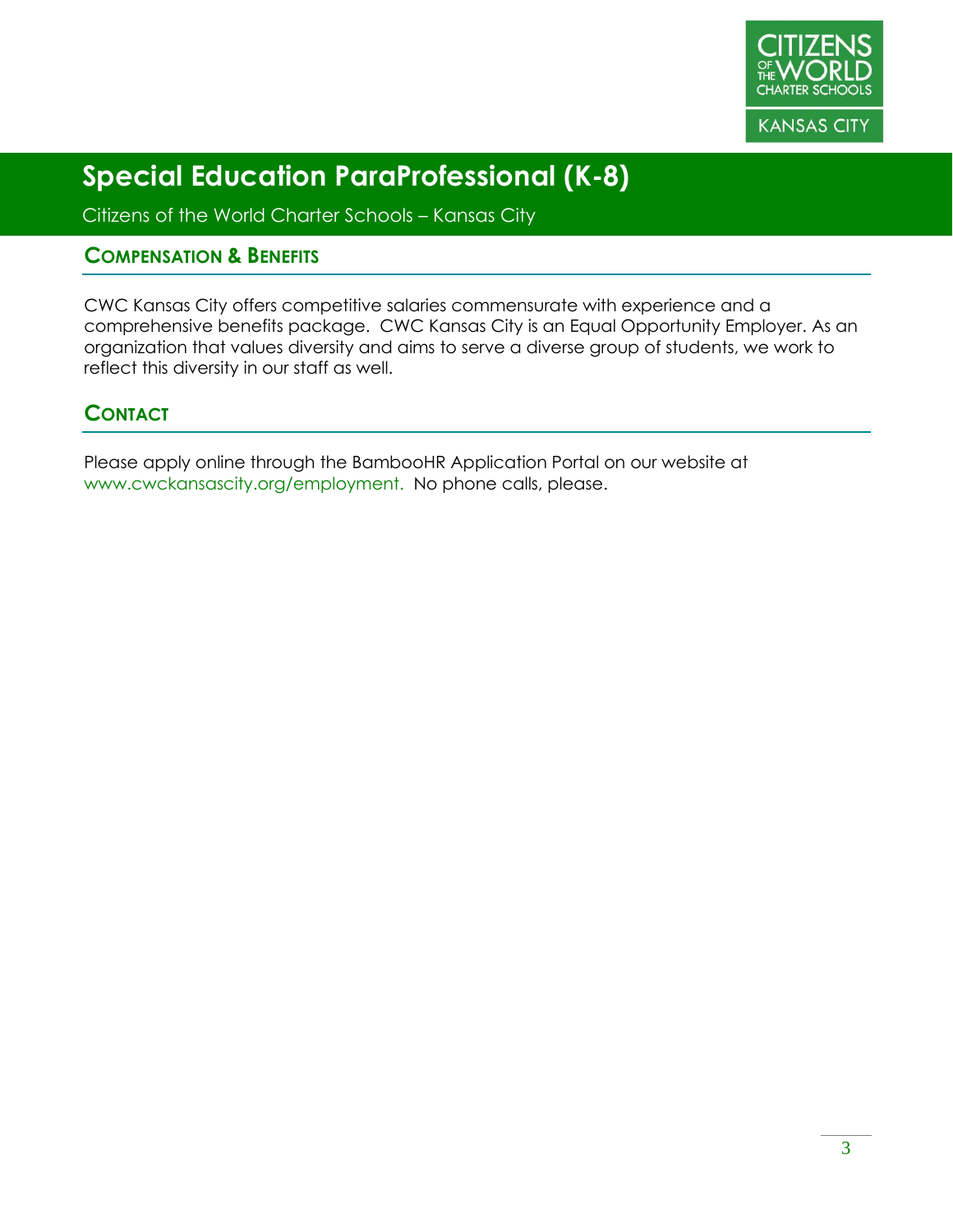

Citizens of the World Charter Schools – Kansas City

#### **COMPENSATION & BENEFITS**

CWC Kansas City offers competitive salaries commensurate with experience and a comprehensive benefits package. CWC Kansas City is an Equal Opportunity Employer. As an organization that values diversity and aims to serve a diverse group of students, we work to reflect this diversity in our staff as well.

### **CONTACT**

Please apply online through the BambooHR Application Portal on our website at www.cwckansascity.org/employment. No phone calls, please.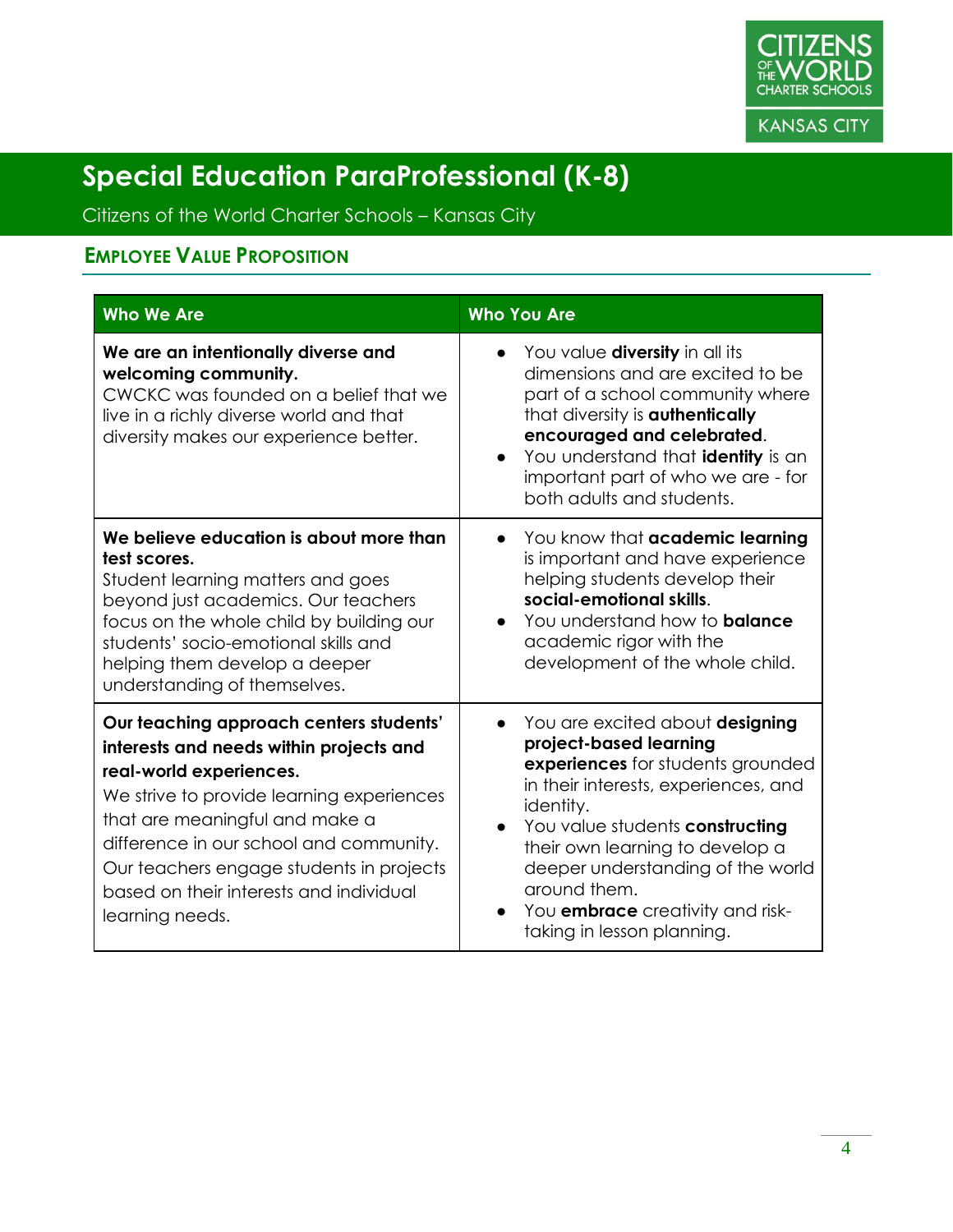

Citizens of the World Charter Schools – Kansas City

### **EMPLOYEE VALUE PROPOSITION**

| <b>Who We Are</b>                                                                                                                                                                                                                                                                                                                                 | <b>Who You Are</b>                                                                                                                                                                                                                                                                                                                                                                |
|---------------------------------------------------------------------------------------------------------------------------------------------------------------------------------------------------------------------------------------------------------------------------------------------------------------------------------------------------|-----------------------------------------------------------------------------------------------------------------------------------------------------------------------------------------------------------------------------------------------------------------------------------------------------------------------------------------------------------------------------------|
| We are an intentionally diverse and<br>welcoming community.<br>CWCKC was founded on a belief that we<br>live in a richly diverse world and that<br>diversity makes our experience better.                                                                                                                                                         | • You value diversity in all its<br>dimensions and are excited to be<br>part of a school community where<br>that diversity is <b>authentically</b><br>encouraged and celebrated.<br>You understand that <b>identity</b> is an<br>important part of who we are - for<br>both adults and students.                                                                                  |
| We believe education is about more than<br>test scores.<br>Student learning matters and goes<br>beyond just academics. Our teachers<br>focus on the whole child by building our<br>students' socio-emotional skills and<br>helping them develop a deeper<br>understanding of themselves.                                                          | You know that <b>academic learning</b><br>$\bullet$<br>is important and have experience<br>helping students develop their<br>social-emotional skills.<br>You understand how to <b>balance</b><br>$\bullet$<br>academic rigor with the<br>development of the whole child.                                                                                                          |
| Our teaching approach centers students'<br>interests and needs within projects and<br>real-world experiences.<br>We strive to provide learning experiences<br>that are meaningful and make a<br>difference in our school and community.<br>Our teachers engage students in projects<br>based on their interests and individual<br>learning needs. | You are excited about designing<br>$\bullet$<br>project-based learning<br>experiences for students grounded<br>in their interests, experiences, and<br>identity.<br>You value students constructing<br>$\bullet$<br>their own learning to develop a<br>deeper understanding of the world<br>around them.<br>You <b>embrace</b> creativity and risk-<br>taking in lesson planning. |